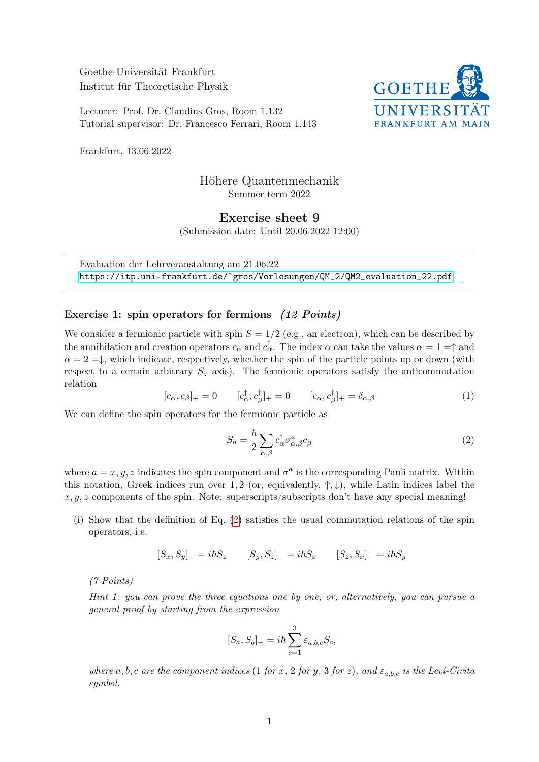Goethe-Universität Frankfurt Institut für Theoretische Physik

Lecturer: Prof. Dr. Claudius Gros, Room 1.132 Tutorial supervisor: Dr. Francesco Ferrari, Room 1.143



Frankfurt, 13.06.2022

## Höhere Quantenmechanik Summer term 2022

Exercise sheet 9

(Submission date: Until 20.06.2022 12:00)

Evaluation der Lehrveranstaltung am 21.06.22 [https://itp.uni-frankfurt.de/~gros/Vorlesungen/QM\\_2/QM2\\_evaluation\\_22.pdf](https://itp.uni-frankfurt.de/~gros/Vorlesungen/QM_2/QM2_evaluation_22.pdf)

## Exercise 1: spin operators for fermions (12 Points)

We consider a fermionic particle with spin  $S = 1/2$  (e.g., an electron), which can be described by the annihilation and creation operators  $c_{\alpha}$  and  $c_{\alpha}^{\dagger}$ . The index  $\alpha$  can take the values  $\alpha = 1 = \uparrow$  and  $\alpha = 2 = \downarrow$ , which indicate, respectively, whether the spin of the particle points up or down (with respect to a certain arbitrary  $S_z$  axis). The fermionic operators satisfy the anticommutation relation

$$
[c_{\alpha}, c_{\beta}]_{+} = 0 \qquad [c_{\alpha}^{\dagger}, c_{\beta}^{\dagger}]_{+} = 0 \qquad [c_{\alpha}, c_{\beta}^{\dagger}]_{+} = \delta_{\alpha,\beta} \tag{1}
$$

We can define the spin operators for the fermionic particle as

<span id="page-0-0"></span>
$$
S_a = \frac{\hbar}{2} \sum_{\alpha,\beta} c^{\dagger}_{\alpha} \sigma^a_{\alpha,\beta} c_{\beta} \tag{2}
$$

where  $a = x, y, z$  indicates the spin component and  $\sigma^a$  is the corresponding Pauli matrix. Within this notation, Greek indices run over 1, 2 (or, equivalently,  $\uparrow, \downarrow$ ), while Latin indices label the  $x, y, z$  components of the spin. Note: superscripts/subscripts don't have any special meaning!

(i) Show that the definition of Eq. [\(2\)](#page-0-0) satisfies the usual commutation relations of the spin operators, i.e.

$$
[S_x, S_y]_- = i\hbar S_z \qquad [S_y, S_z]_- = i\hbar S_x \qquad [S_z, S_x]_- = i\hbar S_y
$$

(7 Points)

Hint 1: you can prove the three equations one by one, or, alternatively, you can pursue a general proof by starting from the expression

$$
[S_a, S_b]_- = i\hbar \sum_{c=1}^3 \varepsilon_{a,b,c} S_c,
$$

where a, b, c are the component indices (1 for x, 2 for y, 3 for z), and  $\varepsilon_{a,b,c}$  is the Levi-Civita symbol.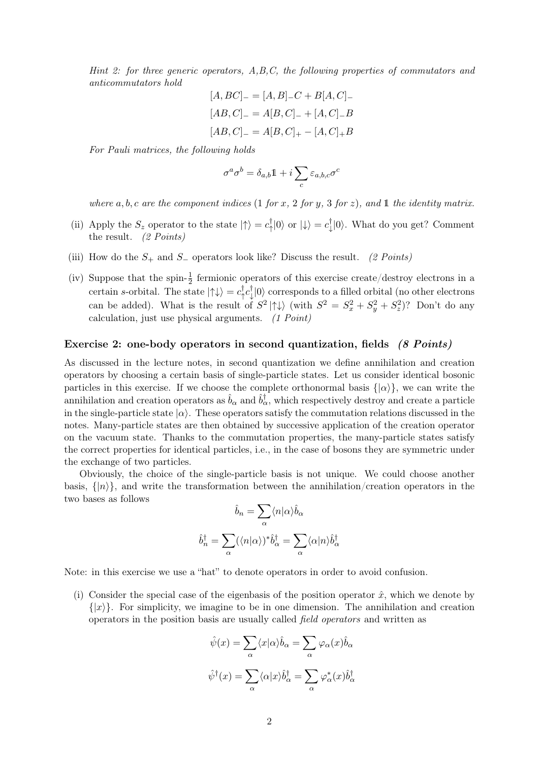Hint 2: for three generic operators, A,B,C, the following properties of commutators and anticommutators hold

$$
[A, BC]_{-} = [A, B]_{-}C + B[A, C]_{-}
$$

$$
[AB, C]_{-} = A[B, C]_{-} + [A, C]_{-}B
$$

$$
[AB, C]_{-} = A[B, C]_{+} - [A, C]_{+}B
$$

For Pauli matrices, the following holds

$$
\sigma^a\sigma^b=\delta_{a,b}\mathbb{1}+i\sum_c \varepsilon_{a,b,c}\sigma^c
$$

where a, b, c are the component indices (1 for x, 2 for y, 3 for z), and 1 the identity matrix.

- (ii) Apply the  $S_z$  operator to the state  $|\uparrow\rangle = c_1^{\dagger}$  $\phi_{\uparrow}^{\dagger}|0\rangle$  or  $\ket{\downarrow}=c_{\downarrow}^{\dagger}$  $\mathbb{U}_\downarrow[0\rangle$ . What do you get? Comment the result. (2 Points)
- (iii) How do the  $S_+$  and  $S_-$  operators look like? Discuss the result. (2 Points)
- (iv) Suppose that the spin- $\frac{1}{2}$  fermionic operators of this exercise create/destroy electrons in a certain s-orbital. The state  $|\uparrow\downarrow\rangle = c_{\uparrow}^{\dagger}$  $\frac{1}{\uparrow}c_{\downarrow}^{\dagger}$  $\mathbb{U}[\ket{0}$  corresponds to a filled orbital (no other electrons can be added). What is the result of  $S^2 | \uparrow \downarrow \rangle$  (with  $S^2 = S_x^2 + S_y^2 + S_z^2$ )? Don't do any calculation, just use physical arguments. (1 Point)

## Exercise 2: one-body operators in second quantization, fields (8 Points)

As discussed in the lecture notes, in second quantization we define annihilation and creation operators by choosing a certain basis of single-particle states. Let us consider identical bosonic particles in this exercise. If we choose the complete orthonormal basis  $\{|\alpha\rangle\}$ , we can write the annihilation and creation operators as  $\hat{b}_\alpha$  and  $\hat{b}^\dagger_\alpha$ , which respectively destroy and create a particle in the single-particle state  $|\alpha\rangle$ . These operators satisfy the commutation relations discussed in the notes. Many-particle states are then obtained by successive application of the creation operator on the vacuum state. Thanks to the commutation properties, the many-particle states satisfy the correct properties for identical particles, i.e., in the case of bosons they are symmetric under the exchange of two particles.

Obviously, the choice of the single-particle basis is not unique. We could choose another basis,  $\{|n\rangle\}$ , and write the transformation between the annihilation/creation operators in the two bases as follows

$$
\hat{b}_n = \sum_{\alpha} \langle n | \alpha \rangle \hat{b}_{\alpha}
$$

$$
\hat{b}_n^{\dagger} = \sum_{\alpha} (\langle n | \alpha \rangle)^* \hat{b}_{\alpha}^{\dagger} = \sum_{\alpha} \langle \alpha | n \rangle \hat{b}_{\alpha}^{\dagger}
$$

Note: in this exercise we use a "hat" to denote operators in order to avoid confusion.

(i) Consider the special case of the eigenbasis of the position operator  $\hat{x}$ , which we denote by  $\{|x\rangle\}$ . For simplicity, we imagine to be in one dimension. The annihilation and creation operators in the position basis are usually called field operators and written as

$$
\hat{\psi}(x) = \sum_{\alpha} \langle x | \alpha \rangle \hat{b}_{\alpha} = \sum_{\alpha} \varphi_{\alpha}(x) \hat{b}_{\alpha}
$$

$$
\hat{\psi}^{\dagger}(x) = \sum_{\alpha} \langle \alpha | x \rangle \hat{b}_{\alpha}^{\dagger} = \sum_{\alpha} \varphi_{\alpha}^{*}(x) \hat{b}_{\alpha}^{\dagger}
$$